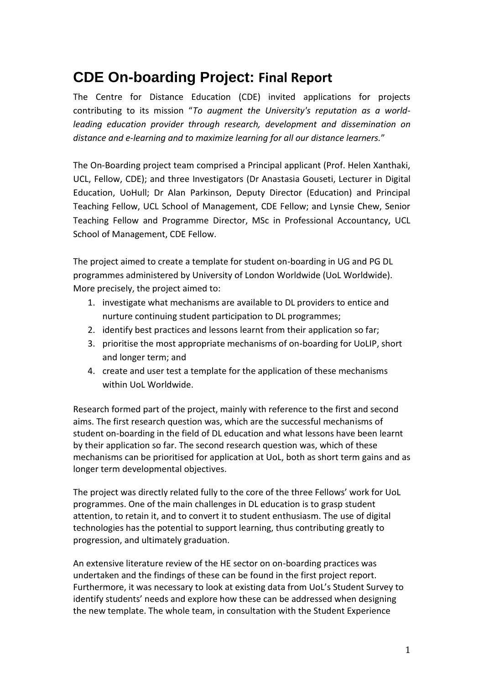# **CDE On-boarding Project: Final Report**

The Centre for Distance Education (CDE) invited applications for projects contributing to its mission "*To augment the University's reputation as a worldleading education provider through research, development and dissemination on distance and e-learning and to maximize learning for all our distance learners.*"

The On-Boarding project team comprised a Principal applicant (Prof. Helen Xanthaki, UCL, Fellow, CDE); and three Investigators (Dr Anastasia Gouseti, Lecturer in Digital Education, UoHull; Dr Alan Parkinson, Deputy Director (Education) and Principal Teaching Fellow, UCL School of Management, CDE Fellow; and Lynsie Chew, Senior Teaching Fellow and Programme Director, MSc in Professional Accountancy, UCL School of Management, CDE Fellow.

The project aimed to create a template for student on-boarding in UG and PG DL programmes administered by University of London Worldwide (UoL Worldwide). More precisely, the project aimed to:

- 1. investigate what mechanisms are available to DL providers to entice and nurture continuing student participation to DL programmes;
- 2. identify best practices and lessons learnt from their application so far;
- 3. prioritise the most appropriate mechanisms of on-boarding for UoLIP, short and longer term; and
- 4. create and user test a template for the application of these mechanisms within UoL Worldwide.

Research formed part of the project, mainly with reference to the first and second aims. The first research question was, which are the successful mechanisms of student on-boarding in the field of DL education and what lessons have been learnt by their application so far. The second research question was, which of these mechanisms can be prioritised for application at UoL, both as short term gains and as longer term developmental objectives.

The project was directly related fully to the core of the three Fellows' work for UoL programmes. One of the main challenges in DL education is to grasp student attention, to retain it, and to convert it to student enthusiasm. The use of digital technologies has the potential to support learning, thus contributing greatly to progression, and ultimately graduation.

An extensive literature review of the HE sector on on-boarding practices was undertaken and the findings of these can be found in the first project report. Furthermore, it was necessary to look at existing data from UoL's Student Survey to identify students' needs and explore how these can be addressed when designing the new template. The whole team, in consultation with the Student Experience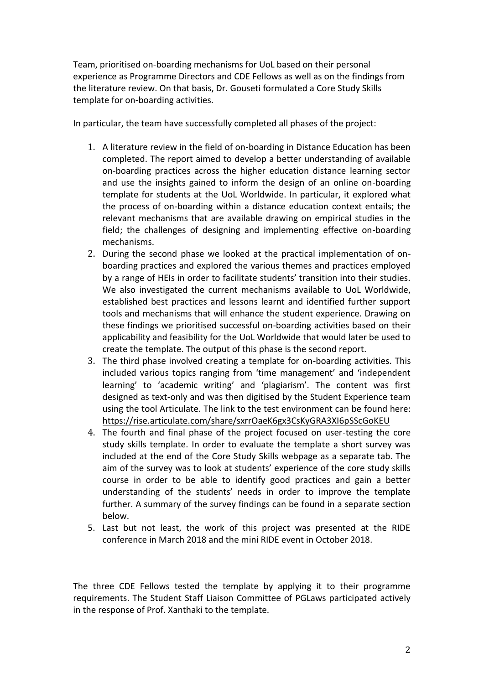Team, prioritised on-boarding mechanisms for UoL based on their personal experience as Programme Directors and CDE Fellows as well as on the findings from the literature review. On that basis, Dr. Gouseti formulated a Core Study Skills template for on-boarding activities.

In particular, the team have successfully completed all phases of the project:

- 1. A literature review in the field of on-boarding in Distance Education has been completed. The report aimed to develop a better understanding of available on-boarding practices across the higher education distance learning sector and use the insights gained to inform the design of an online on-boarding template for students at the UoL Worldwide. In particular, it explored what the process of on-boarding within a distance education context entails; the relevant mechanisms that are available drawing on empirical studies in the field; the challenges of designing and implementing effective on-boarding mechanisms.
- 2. During the second phase we looked at the practical implementation of onboarding practices and explored the various themes and practices employed by a range of HEIs in order to facilitate students' transition into their studies. We also investigated the current mechanisms available to UoL Worldwide, established best practices and lessons learnt and identified further support tools and mechanisms that will enhance the student experience. Drawing on these findings we prioritised successful on-boarding activities based on their applicability and feasibility for the UoL Worldwide that would later be used to create the template. The output of this phase is the second report.
- 3. The third phase involved creating a template for on-boarding activities. This included various topics ranging from 'time management' and 'independent learning' to 'academic writing' and 'plagiarism'. The content was first designed as text-only and was then digitised by the Student Experience team using the tool Articulate. The link to the test environment can be found here: <https://rise.articulate.com/share/sxrrOaeK6gx3CsKyGRA3XI6pSScGoKEU>
- 4. The fourth and final phase of the project focused on user-testing the core study skills template. In order to evaluate the template a short survey was included at the end of the Core Study Skills webpage as a separate tab. The aim of the survey was to look at students' experience of the core study skills course in order to be able to identify good practices and gain a better understanding of the students' needs in order to improve the template further. A summary of the survey findings can be found in a separate section below.
- 5. Last but not least, the work of this project was presented at the RIDE conference in March 2018 and the mini RIDE event in October 2018.

The three CDE Fellows tested the template by applying it to their programme requirements. The Student Staff Liaison Committee of PGLaws participated actively in the response of Prof. Xanthaki to the template.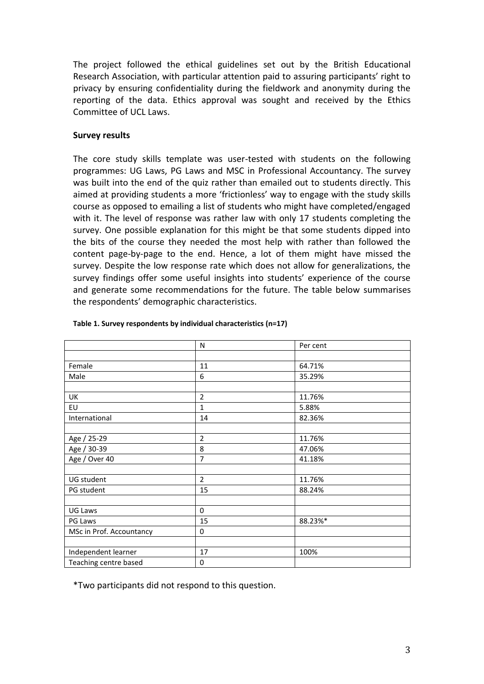The project followed the ethical guidelines set out by the British Educational Research Association, with particular attention paid to assuring participants' right to privacy by ensuring confidentiality during the fieldwork and anonymity during the reporting of the data. Ethics approval was sought and received by the Ethics Committee of UCL Laws.

### **Survey results**

The core study skills template was user-tested with students on the following programmes: UG Laws, PG Laws and MSC in Professional Accountancy. The survey was built into the end of the quiz rather than emailed out to students directly. This aimed at providing students a more 'frictionless' way to engage with the study skills course as opposed to emailing a list of students who might have completed/engaged with it. The level of response was rather law with only 17 students completing the survey. One possible explanation for this might be that some students dipped into the bits of the course they needed the most help with rather than followed the content page-by-page to the end. Hence, a lot of them might have missed the survey. Despite the low response rate which does not allow for generalizations, the survey findings offer some useful insights into students' experience of the course and generate some recommendations for the future. The table below summarises the respondents' demographic characteristics.

|                          | N              | Per cent |  |  |  |  |
|--------------------------|----------------|----------|--|--|--|--|
|                          |                |          |  |  |  |  |
| Female                   | 11             | 64.71%   |  |  |  |  |
| Male                     | 6              | 35.29%   |  |  |  |  |
|                          |                |          |  |  |  |  |
| UK                       | $\overline{2}$ | 11.76%   |  |  |  |  |
| EU                       | 1              | 5.88%    |  |  |  |  |
| International            | 14             | 82.36%   |  |  |  |  |
|                          |                |          |  |  |  |  |
| Age / 25-29              | $\overline{2}$ | 11.76%   |  |  |  |  |
| Age / 30-39              | 8              | 47.06%   |  |  |  |  |
| Age / Over 40            | $\overline{7}$ | 41.18%   |  |  |  |  |
|                          |                |          |  |  |  |  |
| UG student               | $\overline{2}$ | 11.76%   |  |  |  |  |
| PG student               | 15             | 88.24%   |  |  |  |  |
|                          |                |          |  |  |  |  |
| UG Laws                  | $\mathbf 0$    |          |  |  |  |  |
| PG Laws                  | 15             | 88.23%*  |  |  |  |  |
| MSc in Prof. Accountancy | $\Omega$       |          |  |  |  |  |
|                          |                |          |  |  |  |  |
| Independent learner      | 17             | 100%     |  |  |  |  |
| Teaching centre based    | 0              |          |  |  |  |  |

#### **Table 1. Survey respondents by individual characteristics (n=17)**

\*Two participants did not respond to this question.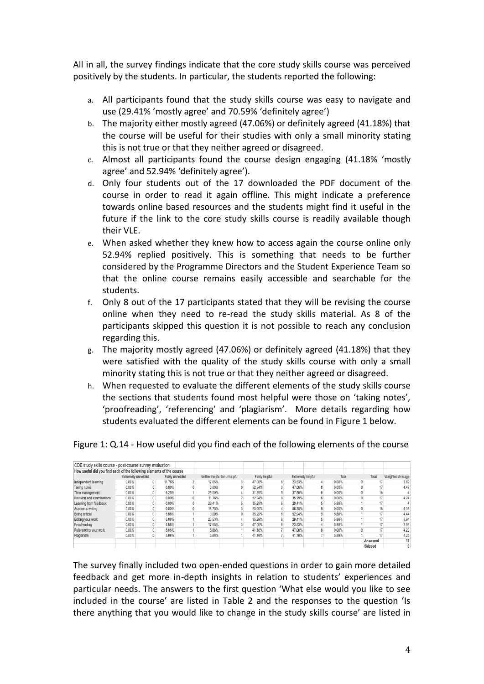All in all, the survey findings indicate that the core study skills course was perceived positively by the students. In particular, the students reported the following:

- a. All participants found that the study skills course was easy to navigate and use (29.41% 'mostly agree' and 70.59% 'definitely agree')
- b. The majority either mostly agreed (47.06%) or definitely agreed (41.18%) that the course will be useful for their studies with only a small minority stating this is not true or that they neither agreed or disagreed.
- c. Almost all participants found the course design engaging (41.18% 'mostly agree' and 52.94% 'definitely agree').
- d. Only four students out of the 17 downloaded the PDF document of the course in order to read it again offline. This might indicate a preference towards online based resources and the students might find it useful in the future if the link to the core study skills course is readily available though their VLE.
- e. When asked whether they knew how to access again the course online only 52.94% replied positively. This is something that needs to be further considered by the Programme Directors and the Student Experience Team so that the online course remains easily accessible and searchable for the students.
- f. Only 8 out of the 17 participants stated that they will be revising the course online when they need to re-read the study skills material. As 8 of the participants skipped this question it is not possible to reach any conclusion regarding this.
- g. The majority mostly agreed (47.06%) or definitely agreed (41.18%) that they were satisfied with the quality of the study skills course with only a small minority stating this is not true or that they neither agreed or disagreed.
- h. When requested to evaluate the different elements of the study skills course the sections that students found most helpful were those on 'taking notes', 'proofreading', 'referencing' and 'plagiarism'. More details regarding how students evaluated the different elements can be found in Figure 1 below.

| CDE study skills course - post-course survey evaluation              |                     |                  |              |                               |        |                |        |                   |            |          |                  |
|----------------------------------------------------------------------|---------------------|------------------|--------------|-------------------------------|--------|----------------|--------|-------------------|------------|----------|------------------|
| How useful did you find each of the following elements of the course |                     |                  |              |                               |        |                |        |                   |            |          |                  |
|                                                                      | Extremely unhelpful | Fairly unhelpful |              | Neither helpful for unhelpful |        | Fairly helpful |        | Extremely helpful | <b>N/A</b> | Total    | Weighted Average |
| Independent learning                                                 | 0.00%               | 11.76%           |              | 17.65%                        | 47.06% | 8              | 23.53% |                   | $0.00\%$   |          | 3.82             |
| Taking notes                                                         | $0.00\%$            | 0.00%            | 0            | 0.00%                         | 52.94% | 9              | 47.06% |                   | $0.00\%$   | 17       | 4.47             |
| Time management                                                      | 0.00%               | 6.25%            |              | 25.00%                        | 31.25% |                | 37.50% |                   | $0.00\%$   | 16       |                  |
| Revision and examinations                                            | $0.00\%$            | 0.00%            | $\mathbf{0}$ | 11.76%                        | 52.94% | 9              | 35.29% |                   | $0.00\%$   | 17       | 4.24             |
| Learning from feedback                                               | 0.00%               | 0.00%            | 0            | 29.41%                        | 35.29% | 6              | 29.41% |                   | 5.88%      | 17       |                  |
| Academic writing                                                     | $0.00\%$            | 0.00%            | $\mathbf{0}$ | 18.75%                        | 25.00% |                | 56.25% |                   | $0.00\%$   | 16       | 4.38             |
| Being critical                                                       | $0.00\%$            | 5.88%            |              | 0.00%                         | 35.29% | 6              | 52.94% |                   | 5.88%      | 17       | 4.44             |
| Editing your work                                                    | $0.00\%$            | 5.88%            |              | 23.53%                        | 35.29% | 6 <sup>1</sup> | 29.41% |                   | 5.88%      | 17       | 3.94             |
| Proofreading                                                         | $0.00\%$            | 5.88%            |              | 17.65%                        | 47.06% | 8              | 23.53% |                   | 5.88%      | 17       | 3.94             |
| Referencing your work                                                | $0.00\%$            | 5.88%            |              | 5.88%                         | 41.18% |                | 47.06% |                   | $0.00\%$   | 17       | 4.29             |
| Plagiarism                                                           | 0.00%               | 5.88%            |              | 5.88%                         | 41.18% |                | 41.18% |                   | 5.88%      |          | 4.25             |
|                                                                      |                     |                  |              |                               |        |                |        |                   |            | Answered | 17 <sub>1</sub>  |
|                                                                      |                     |                  |              |                               |        |                |        |                   |            | Skipped  | 0                |

Figure 1: Q.14 - How useful did you find each of the following elements of the course

The survey finally included two open-ended questions in order to gain more detailed feedback and get more in-depth insights in relation to students' experiences and particular needs. The answers to the first question 'What else would you like to see included in the course' are listed in Table 2 and the responses to the question 'Is there anything that you would like to change in the study skills course' are listed in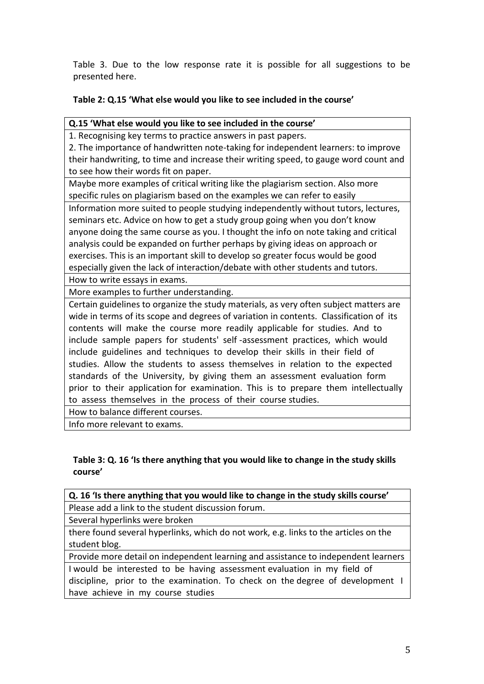Table 3. Due to the low response rate it is possible for all suggestions to be presented here.

# **Table 2: Q.15 'What else would you like to see included in the course'**

## **Q.15 'What else would you like to see included in the course'**

1. Recognising key terms to practice answers in past papers.

2. The importance of handwritten note-taking for independent learners: to improve their handwriting, to time and increase their writing speed, to gauge word count and to see how their words fit on paper.

Maybe more examples of critical writing like the plagiarism section. Also more specific rules on plagiarism based on the examples we can refer to easily

Information more suited to people studying independently without tutors, lectures, seminars etc. Advice on how to get a study group going when you don't know anyone doing the same course as you. I thought the info on note taking and critical analysis could be expanded on further perhaps by giving ideas on approach or exercises. This is an important skill to develop so greater focus would be good especially given the lack of interaction/debate with other students and tutors.

How to write essays in exams.

More examples to further understanding.

Certain guidelines to organize the study materials, as very often subject matters are wide in terms of its scope and degrees of variation in contents. Classification of its contents will make the course more readily applicable for studies. And to include sample papers for students' self -assessment practices, which would include guidelines and techniques to develop their skills in their field of studies. Allow the students to assess themselves in relation to the expected standards of the University, by giving them an assessment evaluation form prior to their application for examination. This is to prepare them intellectually to assess themselves in the process of their course studies.

How to balance different courses.

Info more relevant to exams.

# **Table 3: Q. 16 'Is there anything that you would like to change in the study skills course'**

| Q. 16 'Is there anything that you would like to change in the study skills course'   |  |  |  |  |
|--------------------------------------------------------------------------------------|--|--|--|--|
| Please add a link to the student discussion forum.                                   |  |  |  |  |
| Several hyperlinks were broken                                                       |  |  |  |  |
| there found several hyperlinks, which do not work, e.g. links to the articles on the |  |  |  |  |
| student blog.                                                                        |  |  |  |  |
| Provide more detail on independent learning and assistance to independent learners   |  |  |  |  |
| I would be interested to be having assessment evaluation in my field of              |  |  |  |  |
| discipline, prior to the examination. To check on the degree of development I        |  |  |  |  |
| have achieve in my course studies                                                    |  |  |  |  |